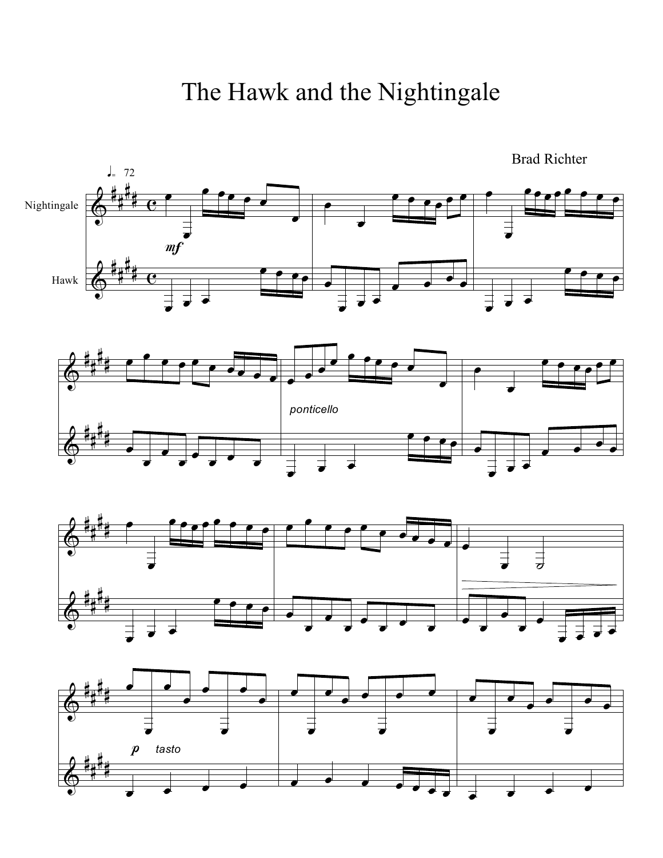The Hawk and the Nightingale

Brad Richter



 $\pmb{\phi}$ # # # #  $\overrightarrow{•}$  $\overrightarrow{•}$  $\bullet$   $\bullet$   $\bullet$   $\bullet$  $\overrightarrow{•}$  $\overrightarrow{•}$  $\overrightarrow{•}$  $\cdot$ ,  $\cdot$  $\overrightarrow{•}$ Ï  $\overrightarrow{•}$ Ï  $\overrightarrow{•}$ Ï  $\frac{1}{\sigma}$   $\frac{1}{\sigma}$   $\frac{1}{\sigma}$   $\frac{1}{\sigma}$